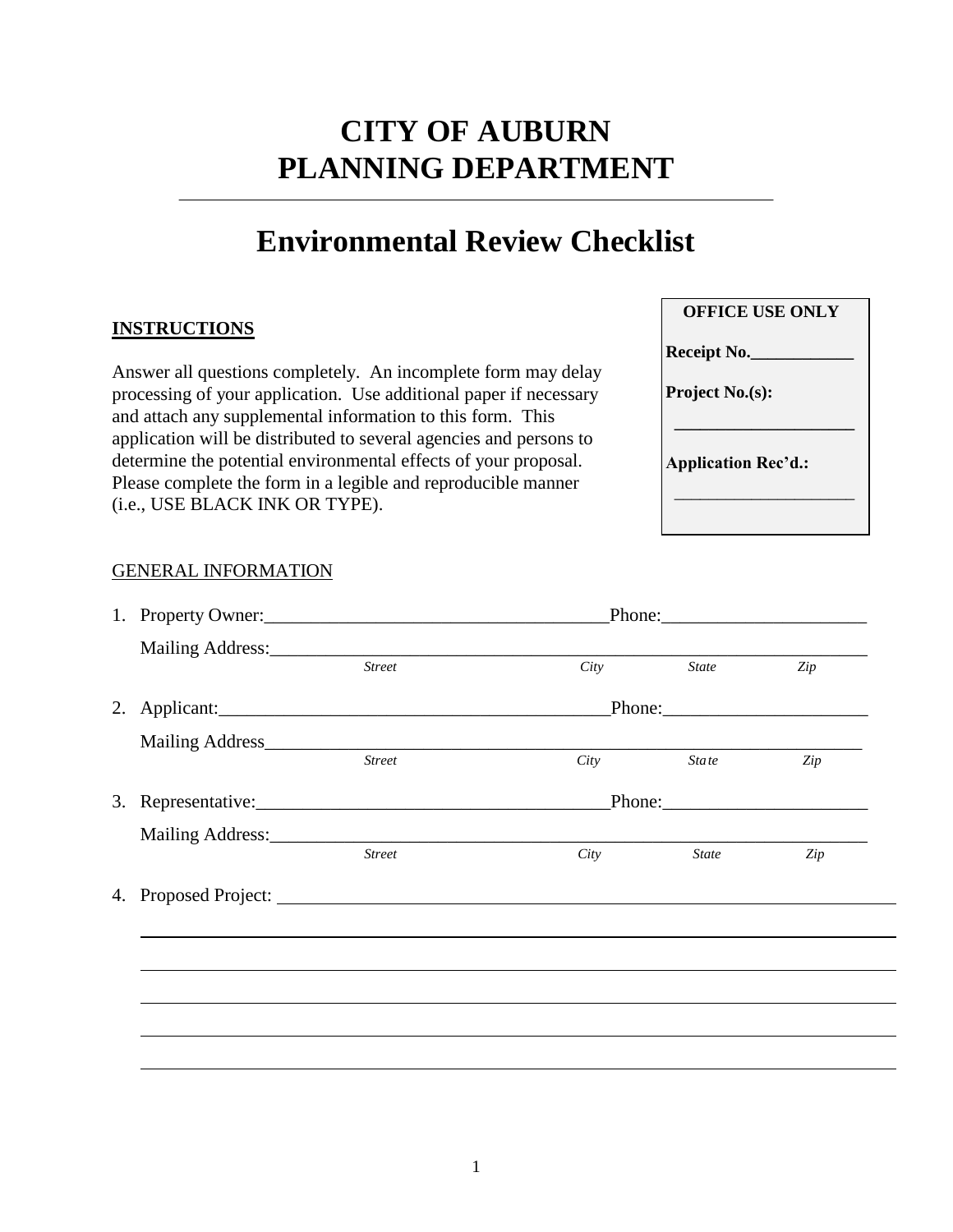# **CITY OF AUBURN PLANNING DEPARTMENT**

# **Environmental Review Checklist**

# **INSTRUCTIONS**

Answer all questions completely. An incomplete form may delay processing of your application. Use additional paper if necessary and attach any supplemental information to this form. This application will be distributed to several agencies and persons to determine the potential environmental effects of your proposal. Please complete the form in a legible and reproducible manner (i.e., USE BLACK INK OR TYPE).

| OFFICE USE ONLY            |
|----------------------------|
| Receipt No.                |
| <b>Project No.(s):</b>     |
|                            |
| <b>Application Rec'd.:</b> |
|                            |
|                            |

# GENERAL INFORMATION

|  |                    |      | Phone:       |     |  |
|--|--------------------|------|--------------|-----|--|
|  | <b>Street</b>      | City | <b>State</b> | Zip |  |
|  |                    |      |              |     |  |
|  |                    |      |              |     |  |
|  |                    |      |              |     |  |
|  | <b>Street</b>      | City | Sta te       | Zip |  |
|  | 3. Representative: |      |              |     |  |
|  |                    |      |              |     |  |
|  | <b>Street</b>      | City | <b>State</b> | Zip |  |
|  |                    |      |              |     |  |
|  |                    |      |              |     |  |
|  |                    |      |              |     |  |
|  |                    |      |              |     |  |
|  |                    |      |              |     |  |
|  |                    |      |              |     |  |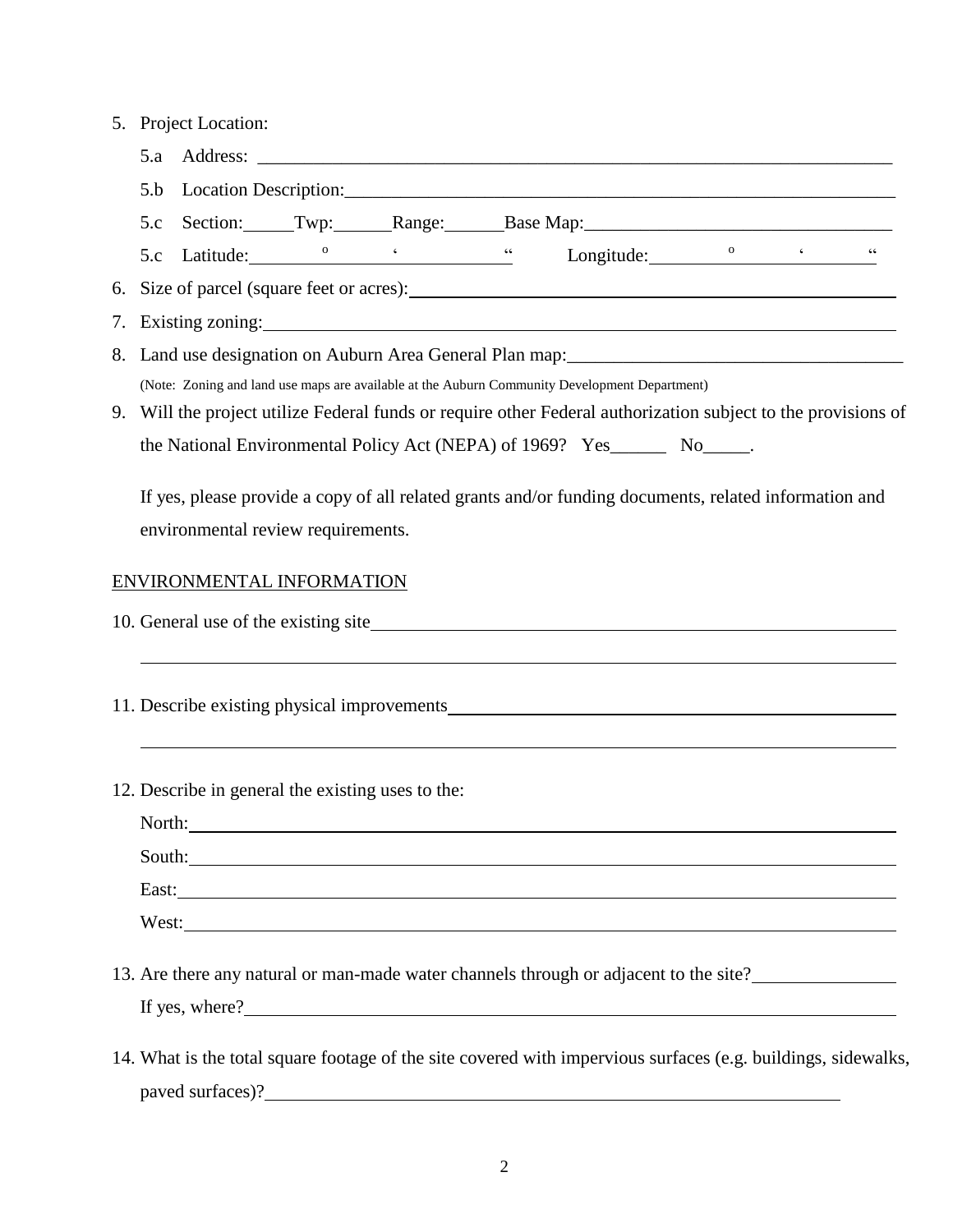## 5. Project Location:

- 5.a Address:
- 5.b Location Description:\_\_\_\_\_\_\_\_\_\_\_\_\_\_\_\_\_\_\_\_\_\_\_\_\_\_\_\_\_\_\_\_\_\_\_\_\_\_\_\_\_\_\_\_\_\_\_\_\_\_\_\_\_\_\_\_\_\_\_
- 5.c Section: Twp: Range: Base Map:
- 5.c Latitude:  $\qquad \qquad ^{\circ}$  (a)  $\qquad \qquad ^{\circ}$  (c) ' Congitude: <sup>o</sup> ' "
- 6. Size of parcel (square feet or acres):
- 7. Existing zoning:
- 8. Land use designation on Auburn Area General Plan map: (Note: Zoning and land use maps are available at the Auburn Community Development Department)
- 9. Will the project utilize Federal funds or require other Federal authorization subject to the provisions of the National Environmental Policy Act (NEPA) of 1969? Yes No

If yes, please provide a copy of all related grants and/or funding documents, related information and environmental review requirements.

## ENVIRONMENTAL INFORMATION

- 10. General use of the existing site
- 11. Describe existing physical improvements
- 12. Describe in general the existing uses to the:

| North: |  |  |
|--------|--|--|
| South: |  |  |
| East:  |  |  |
| West:  |  |  |

- 13. Are there any natural or man-made water channels through or adjacent to the site? If yes, where?
- 14. What is the total square footage of the site covered with impervious surfaces (e.g. buildings, sidewalks, paved surfaces)?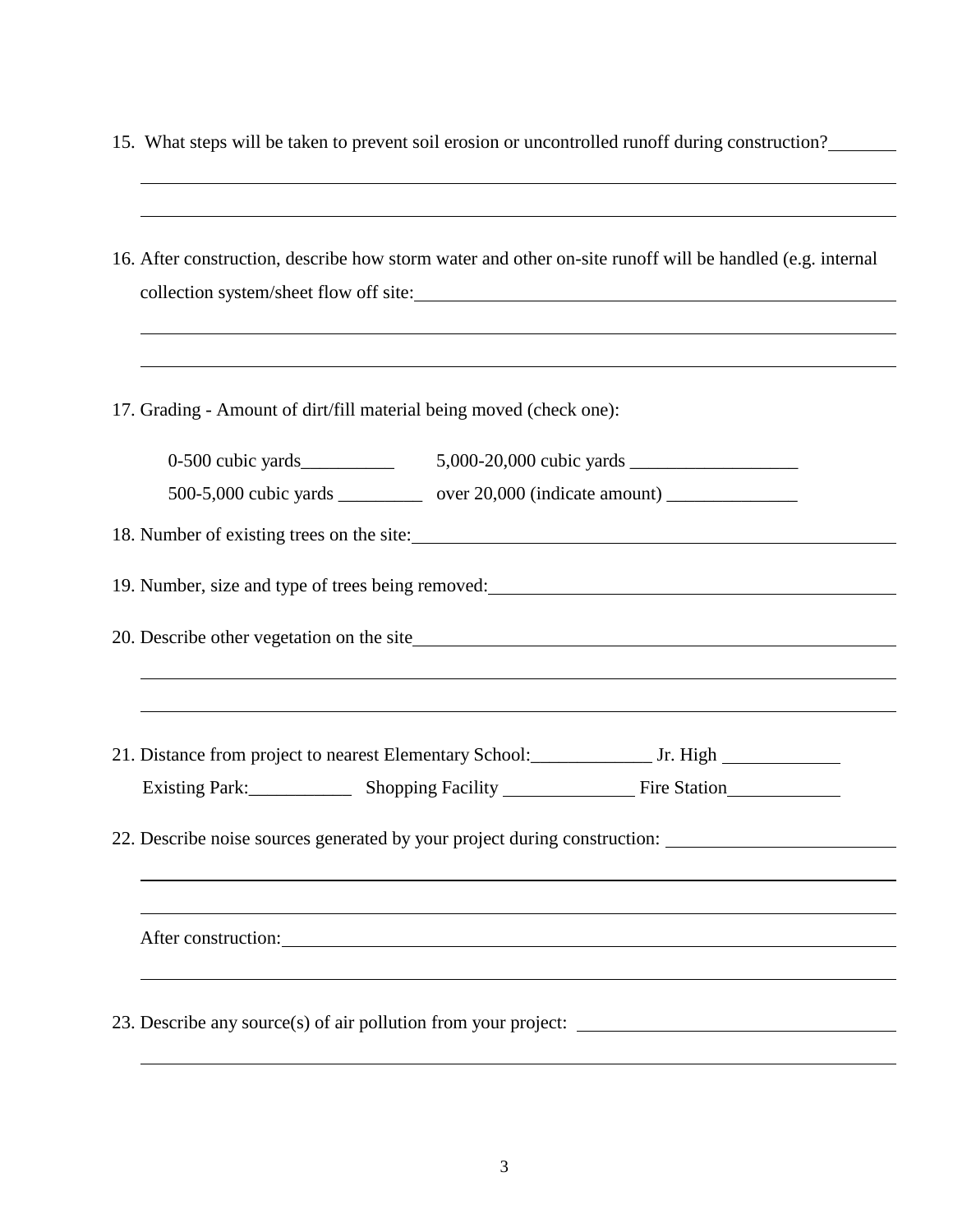15. What steps will be taken to prevent soil erosion or uncontrolled runoff during construction?

L,

| 16. After construction, describe how storm water and other on-site runoff will be handled (e.g. internal<br>collection system/sheet flow off site:<br><u>example</u> and the system/sheet flow off site:                             |  |  |
|--------------------------------------------------------------------------------------------------------------------------------------------------------------------------------------------------------------------------------------|--|--|
| 17. Grading - Amount of dirt/fill material being moved (check one):                                                                                                                                                                  |  |  |
|                                                                                                                                                                                                                                      |  |  |
| 500-5,000 cubic yards ____________ over 20,000 (indicate amount) _______________                                                                                                                                                     |  |  |
| 18. Number of existing trees on the site:                                                                                                                                                                                            |  |  |
| 19. Number, size and type of trees being removed: 19. Number of the same state of the state of the state of the state of the state of the state of the state of the state of the state of the state of the state of the state        |  |  |
| 21. Distance from project to nearest Elementary School: _________________________ Jr. High ___________________                                                                                                                       |  |  |
| 22. Describe noise sources generated by your project during construction:                                                                                                                                                            |  |  |
| After construction: <u>contract of the set of the set of the set of the set of the set of the set of the set of the set of the set of the set of the set of the set of the set of the set of the set of the set of the set of th</u> |  |  |
|                                                                                                                                                                                                                                      |  |  |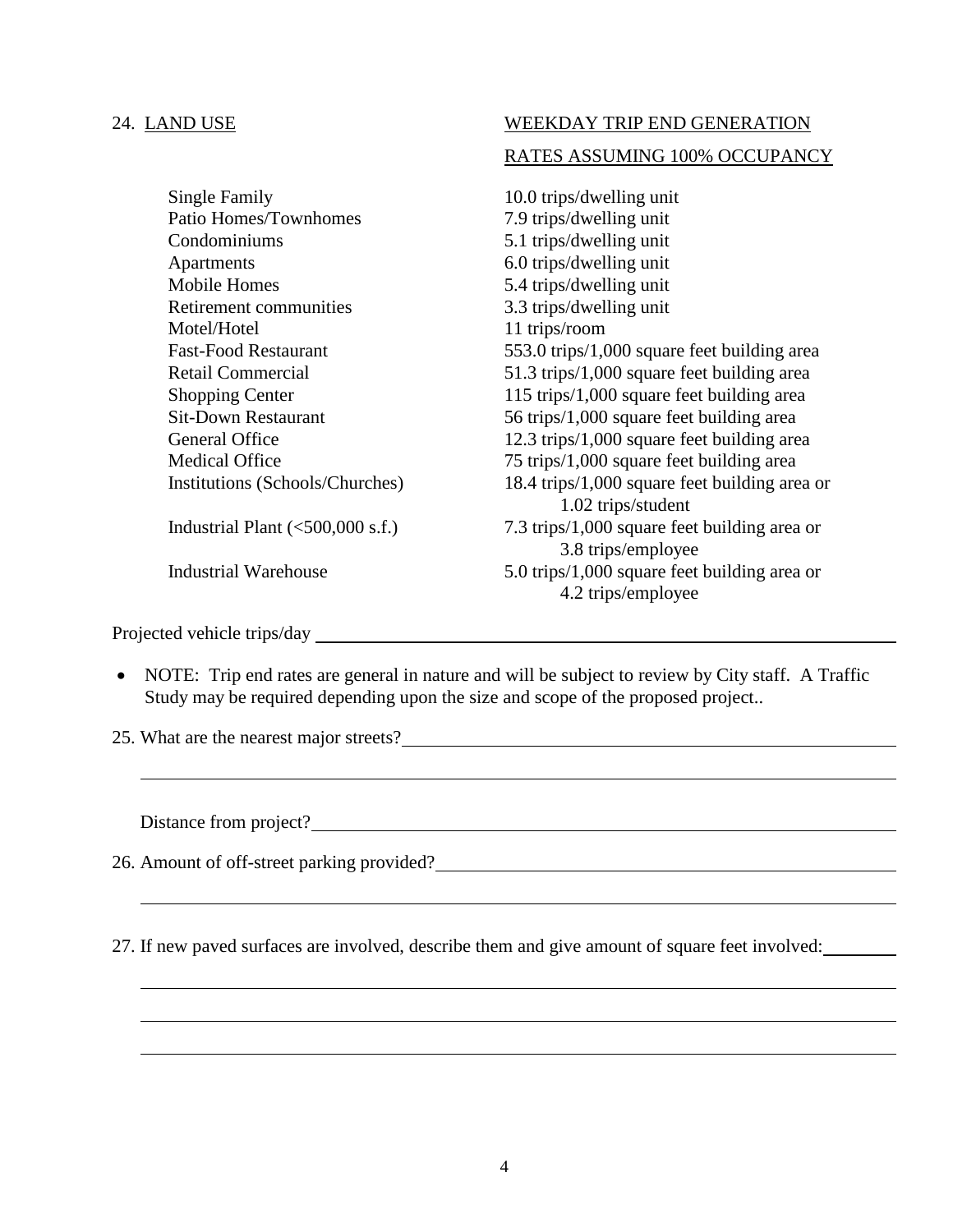### 24. LAND USE WEEKDAY TRIP END GENERATION

#### RATES ASSUMING 100% OCCUPANCY

| Single Family                                  | 10.0 trips/dwelling unit                                            |
|------------------------------------------------|---------------------------------------------------------------------|
| Patio Homes/Townhomes                          | 7.9 trips/dwelling unit                                             |
| Condominiums                                   | 5.1 trips/dwelling unit                                             |
| Apartments                                     | 6.0 trips/dwelling unit                                             |
| <b>Mobile Homes</b>                            | 5.4 trips/dwelling unit                                             |
| Retirement communities                         | 3.3 trips/dwelling unit                                             |
| Motel/Hotel                                    | 11 trips/room                                                       |
| <b>Fast-Food Restaurant</b>                    | 553.0 trips/1,000 square feet building area                         |
| Retail Commercial                              | 51.3 trips/1,000 square feet building area                          |
| <b>Shopping Center</b>                         | 115 trips/1,000 square feet building area                           |
| <b>Sit-Down Restaurant</b>                     | 56 trips/1,000 square feet building area                            |
| General Office                                 | 12.3 trips/1,000 square feet building area                          |
| <b>Medical Office</b>                          | 75 trips/1,000 square feet building area                            |
| Institutions (Schools/Churches)                | 18.4 trips/1,000 square feet building area or<br>1.02 trips/student |
| Industrial Plant $(\leq 500,000 \text{ s.f.})$ | 7.3 trips/1,000 square feet building area or<br>3.8 trips/employee  |
| Industrial Warehouse                           | 5.0 trips/1,000 square feet building area or<br>4.2 trips/employee  |

Projected vehicle trips/day

• NOTE: Trip end rates are general in nature and will be subject to review by City staff. A Traffic Study may be required depending upon the size and scope of the proposed project..

25. What are the nearest major streets?

Distance from project?

26. Amount of off-street parking provided?

27. If new paved surfaces are involved, describe them and give amount of square feet involved: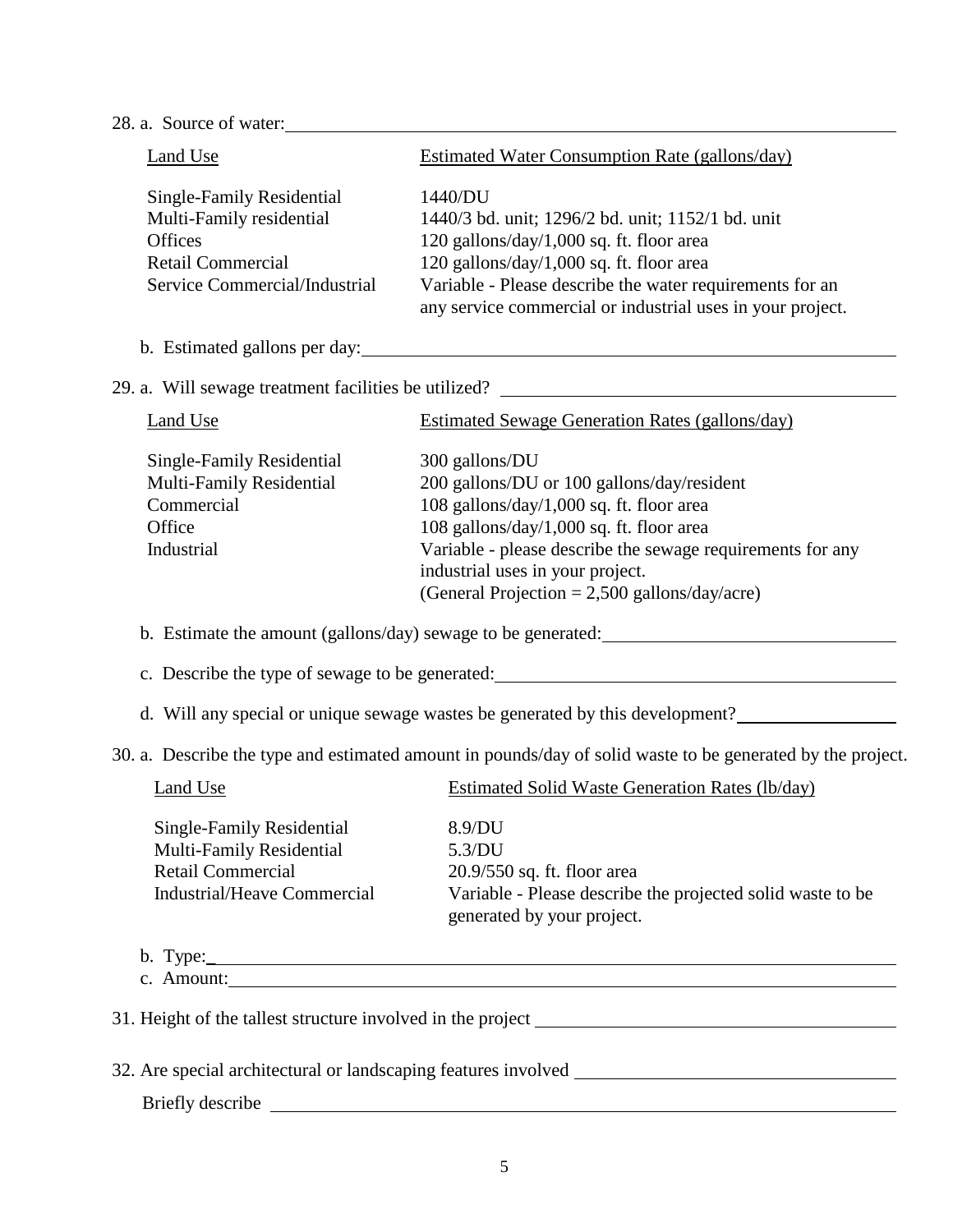| 28. a. Source of water: |
|-------------------------|
|                         |

| <b>Land Use</b>                                                                                                                      | Estimated Water Consumption Rate (gallons/day)                                                                                                                                                                                                                                                            |
|--------------------------------------------------------------------------------------------------------------------------------------|-----------------------------------------------------------------------------------------------------------------------------------------------------------------------------------------------------------------------------------------------------------------------------------------------------------|
| Single-Family Residential<br>Multi-Family residential<br><b>Offices</b><br><b>Retail Commercial</b><br>Service Commercial/Industrial | 1440/DU<br>1440/3 bd. unit; 1296/2 bd. unit; 1152/1 bd. unit<br>120 gallons/day/1,000 sq. ft. floor area<br>120 gallons/day/1,000 sq. ft. floor area<br>Variable - Please describe the water requirements for an<br>any service commercial or industrial uses in your project.                            |
|                                                                                                                                      | b. Estimated gallons per day: 100 million and the state of the state of the state of the state of the state of the state of the state of the state of the state of the state of the state of the state of the state of the sta                                                                            |
|                                                                                                                                      | 29. a. Will sewage treatment facilities be utilized? ____________________________                                                                                                                                                                                                                         |
| <b>Land Use</b>                                                                                                                      | <b>Estimated Sewage Generation Rates (gallons/day)</b>                                                                                                                                                                                                                                                    |
| Single-Family Residential<br>Multi-Family Residential<br>Commercial<br>Office<br>Industrial                                          | 300 gallons/DU<br>200 gallons/DU or 100 gallons/day/resident<br>108 gallons/day/1,000 sq. ft. floor area<br>108 gallons/day/1,000 sq. ft. floor area<br>Variable - please describe the sewage requirements for any<br>industrial uses in your project.<br>(General Projection = $2,500$ gallons/day/acre) |
|                                                                                                                                      |                                                                                                                                                                                                                                                                                                           |
|                                                                                                                                      | c. Describe the type of sewage to be generated:                                                                                                                                                                                                                                                           |
|                                                                                                                                      | d. Will any special or unique sewage wastes be generated by this development?______________________                                                                                                                                                                                                       |
|                                                                                                                                      | 30. a. Describe the type and estimated amount in pounds/day of solid waste to be generated by the project.                                                                                                                                                                                                |
| <b>Land Use</b>                                                                                                                      | Estimated Solid Waste Generation Rates (lb/day)                                                                                                                                                                                                                                                           |
| Single-Family Residential<br>Multi-Family Residential<br><b>Retail Commercial</b><br><b>Industrial/Heave Commercial</b>              | 8.9/DU<br>5.3/DU<br>20.9/550 sq. ft. floor area<br>Variable - Please describe the projected solid waste to be<br>generated by your project.                                                                                                                                                               |
|                                                                                                                                      | b. Type:                                                                                                                                                                                                                                                                                                  |
|                                                                                                                                      | c. Amount:                                                                                                                                                                                                                                                                                                |
|                                                                                                                                      |                                                                                                                                                                                                                                                                                                           |
|                                                                                                                                      |                                                                                                                                                                                                                                                                                                           |
|                                                                                                                                      |                                                                                                                                                                                                                                                                                                           |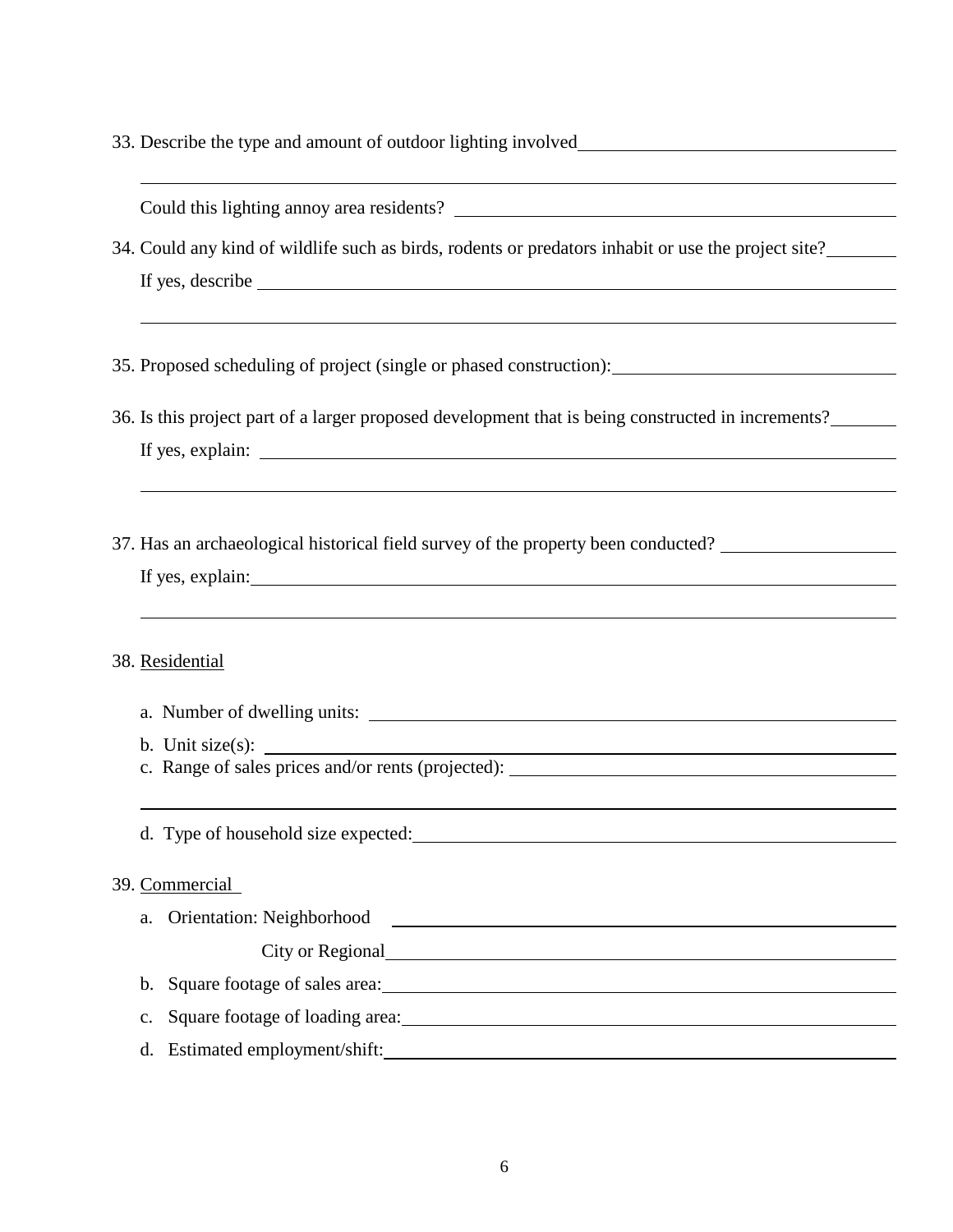| 34. Could any kind of wildlife such as birds, rodents or predators inhabit or use the project site?                                                            |  |
|----------------------------------------------------------------------------------------------------------------------------------------------------------------|--|
|                                                                                                                                                                |  |
| ,我们也不能会有一个人的事情。""我们的人们是不是我们的人,我们也不能会有一个人的人,我们也不能会有一个人的人,我们也不能会有一个人的人,我们也不能会有一个人的人                                                                              |  |
|                                                                                                                                                                |  |
| 36. Is this project part of a larger proposed development that is being constructed in increments?                                                             |  |
| If yes, explain:                                                                                                                                               |  |
| ,我们也不会有什么。""我们的人,我们也不会有什么?""我们的人,我们也不会有什么?""我们的人,我们也不会有什么?""我们的人,我们也不会有什么?""我们的人                                                                               |  |
|                                                                                                                                                                |  |
| 37. Has an archaeological historical field survey of the property been conducted? _________________                                                            |  |
|                                                                                                                                                                |  |
| ,我们也不会有什么。""我们的人,我们也不会有什么?""我们的人,我们也不会有什么?""我们的人,我们也不会有什么?""我们的人,我们也不会有什么?""我们的人                                                                               |  |
| 38. Residential                                                                                                                                                |  |
|                                                                                                                                                                |  |
|                                                                                                                                                                |  |
|                                                                                                                                                                |  |
|                                                                                                                                                                |  |
|                                                                                                                                                                |  |
|                                                                                                                                                                |  |
| 39. Commercial                                                                                                                                                 |  |
| <b>Orientation: Neighborhood</b><br><u> 1989 - Johann John Stein, markin fan it ferstjer fan de ferstjer fan it ferstjer fan de ferstjer fan de fers</u><br>a. |  |
| City or Regional City of Regional                                                                                                                              |  |
| $\mathbf b$ .                                                                                                                                                  |  |
| Square footage of loading area: 1986. The state of the state of loading area:<br>$C_{\bullet}$                                                                 |  |
| d. Estimated employment/shift:                                                                                                                                 |  |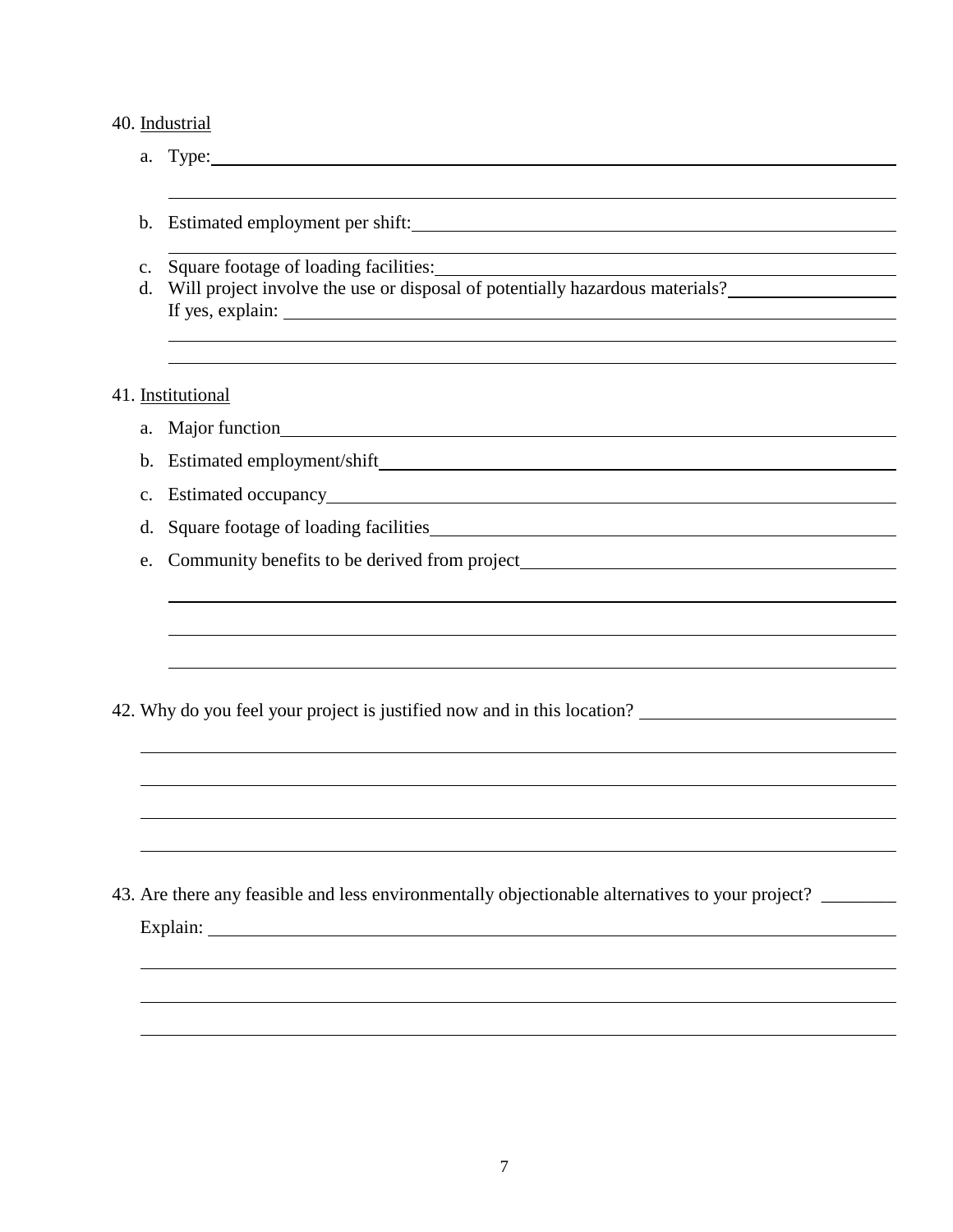#### 40. Industrial

a. Type: b. Estimated employment per shift: c. Square footage of loading facilities: d. Will project involve the use or disposal of potentially hazardous materials? If yes, explain: 41. Institutional a. Major function b. Estimated employment/shift c. Estimated occupancy d. Square footage of loading facilities e. Community benefits to be derived from project <u> 1989 - Johann Stoff, amerikansk politiker (\* 1908)</u> 42. Why do you feel your project is justified now and in this location? 43. Are there any feasible and less environmentally objectionable alternatives to your project? Explain: